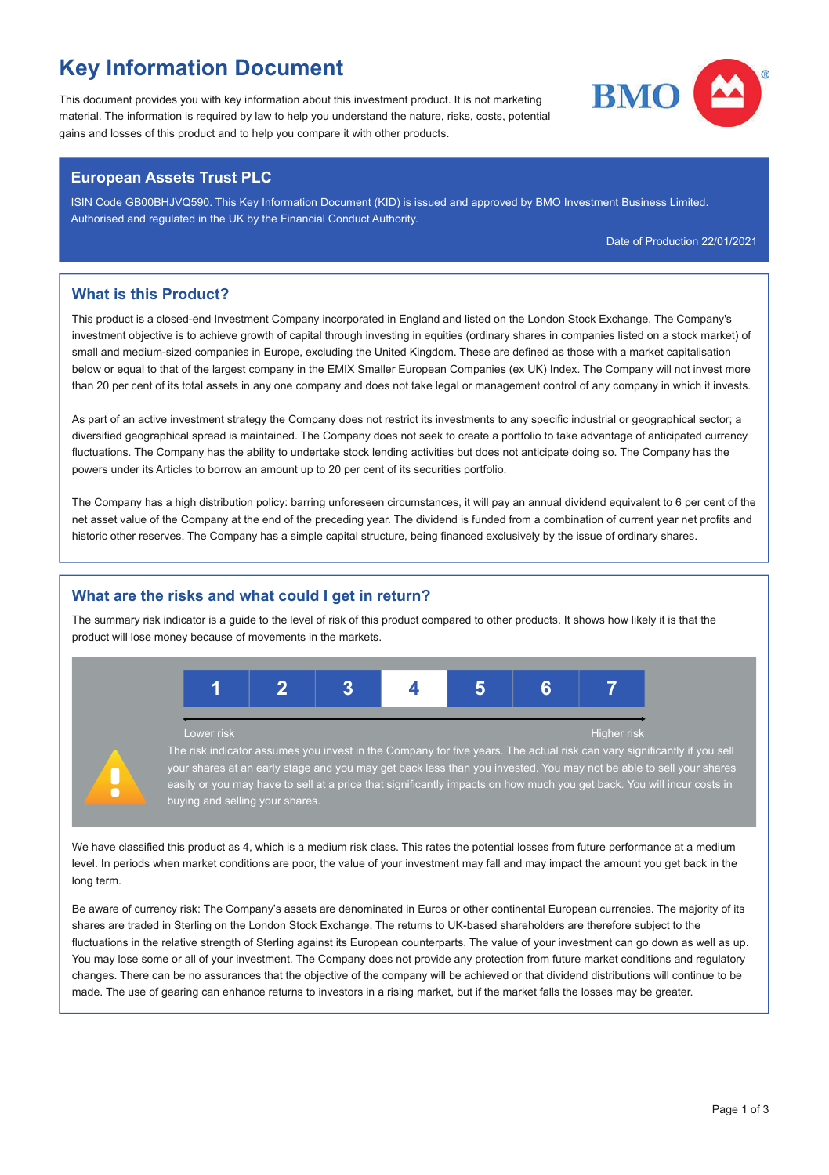## Key Information Document

This document provides you with key information about this investment product. It is not marketing material. The information is required by law to help you understand the nature, risks, costs, potential gains and losses of this product and to help you compare it with other products.

# **BMO**

#### European Assets Trust PLC

ISIN Code GB00BHJVQ590. This Key Information Document (KID) is issued and approved by BMO Investment Business Limited. Authorised and regulated in the UK by the Financial Conduct Authority.

Date of Production 22/01/2021

#### What is this Product?

This product is a closed-end Investment Company incorporated in England and listed on the London Stock Exchange. The Company's investment objective is to achieve growth of capital through investing in equities (ordinary shares in companies listed on a stock market) of small and medium-sized companies in Europe, excluding the United Kingdom. These are defined as those with a market capitalisation below or equal to that of the largest company in the EMIX Smaller European Companies (ex UK) Index. The Company will not invest more than 20 per cent of its total assets in any one company and does not take legal or management control of any company in which it invests.

As part of an active investment strategy the Company does not restrict its investments to any specific industrial or geographical sector; a diversified geographical spread is maintained. The Company does not seek to create a portfolio to take advantage of anticipated currency fluctuations. The Company has the ability to undertake stock lending activities but does not anticipate doing so. The Company has the powers under its Articles to borrow an amount up to 20 per cent of its securities portfolio.

The Company has a high distribution policy: barring unforeseen circumstances, it will pay an annual dividend equivalent to 6 per cent of the net asset value of the Company at the end of the preceding year. The dividend is funded from a combination of current year net profits and historic other reserves. The Company has a simple capital structure, being financed exclusively by the issue of ordinary shares.

#### What are the risks and what could I get in return?

buying and selling your shares.

The summary risk indicator is a quide to the level of risk of this product compared to other products. It shows how likely it is that the product will lose money because of movements in the markets.



We have classified this product as 4, which is a medium risk class. This rates the potential losses from future performance at a medium level. In periods when market conditions are poor, the value of your investment may fall and may impact the amount you get back in the long term.

Be aware of currency risk: The Company's assets are denominated in Euros or other continental European currencies. The majority of its shares are traded in Sterling on the London Stock Exchange. The returns to UK-based shareholders are therefore subject to the fluctuations in the relative strength of Sterling against its European counterparts. The value of your investment can go down as well as up. You may lose some or all of your investment. The Company does not provide any protection from future market conditions and regulatory changes. There can be no assurances that the objective of the company will be achieved or that dividend distributions will continue to be made. The use of gearing can enhance returns to investors in a rising market, but if the market falls the losses may be greater.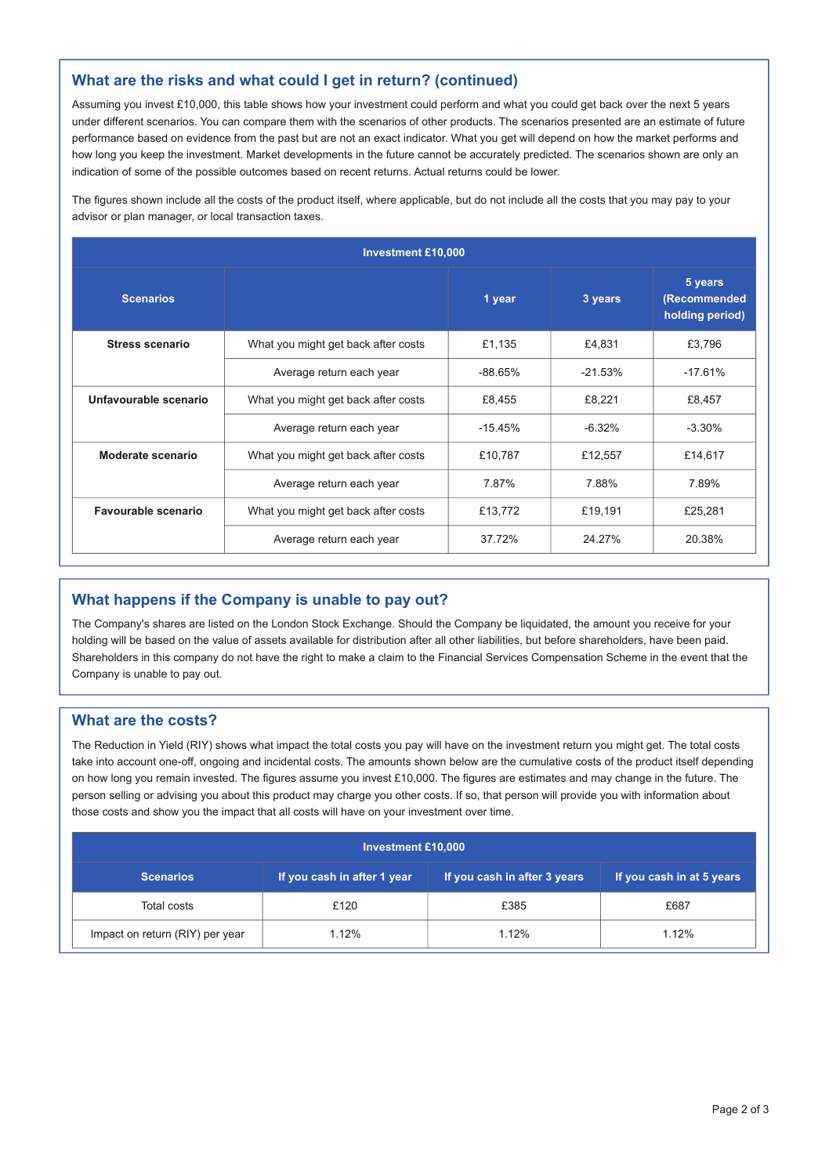#### What are the risks and what could I get in return? (continued)

Assuming you invest £10,000, this table shows how your investment could perform and what you could get back over the next 5 years under different scenarios. You can compare them with the scenarios of other products. The scenarios presented are an estimate of future performance based on evidence from the past but are not an exact indicator. What you get will depend on how the market performs and how long you keep the investment. Market developments in the future cannot be accurately predicted. The scenarios shown are only an indication of some of the possible outcomes based on recent returns. Actual returns could be lower.

The figures shown include all the costs of the product itself, where applicable, but do not include all the costs that you may pay to your advisor or plan manager, or local transaction taxes.

| <b>Investment £10,000</b> |                                                           |           |           |                                            |  |  |
|---------------------------|-----------------------------------------------------------|-----------|-----------|--------------------------------------------|--|--|
| <b>Scenarios</b>          |                                                           | 1 year    | 3 years   | 5 years<br>(Recommended<br>holding period) |  |  |
| Stress scenario           | What you might get back after costs                       | £1.135    | £4.831    | £3,796                                     |  |  |
|                           | Average return each year                                  | $-88.65%$ | $-21.53%$ | $-17.61%$                                  |  |  |
| Unfavourable scenario     | What you might get back after costs                       | £8.455    | £8.221    | £8.457                                     |  |  |
|                           | Average return each year                                  | $-15.45%$ | $-6.32%$  | $-3.30%$                                   |  |  |
| Moderate scenario         | What you might get back after costs                       | £10,787   | £12,557   | £14,617                                    |  |  |
|                           | Average return each year                                  | 7.87%     | 7.88%     | 7.89%                                      |  |  |
| Favourable scenario       | What you might get back after costs<br>£13,772<br>£19,191 |           | £25.281   |                                            |  |  |
|                           | Average return each year                                  | 37.72%    | 24.27%    | 20.38%                                     |  |  |

#### What happens if the Company is unable to pay out?

The Company's shares are listed on the London Stock Exchange. Should the Company be liquidated, the amount you receive for your holding will be based on the value of assets available for distribution after all other liabilities, but before shareholders, have been paid. Shareholders in this company do not have the right to make a claim to the Financial Services Compensation Scheme in the event that the Company is unable to pay out.

#### What are the costs?

The Reduction in Yield (RIY) shows what impact the total costs you pay will have on the investment return you might get. The total costs take into account one-off, ongoing and incidental costs. The amounts shown below are the cumulative costs of the product itself depending on how long you remain invested. The figures assume you invest £10,000. The figures are estimates and may change in the future. The person selling or advising you about this product may charge you other costs. If so, that person will provide you with information about those costs and show you the impact that all costs will have on your investment over time.

| <b>Investment £10,000</b>       |                             |                              |                           |  |  |  |
|---------------------------------|-----------------------------|------------------------------|---------------------------|--|--|--|
| <b>Scenarios</b>                | If you cash in after 1 year | If you cash in after 3 years | If you cash in at 5 years |  |  |  |
| Total costs                     | £120                        | £385                         | £687                      |  |  |  |
| Impact on return (RIY) per year | 1.12%                       | 1.12%                        | 1.12%                     |  |  |  |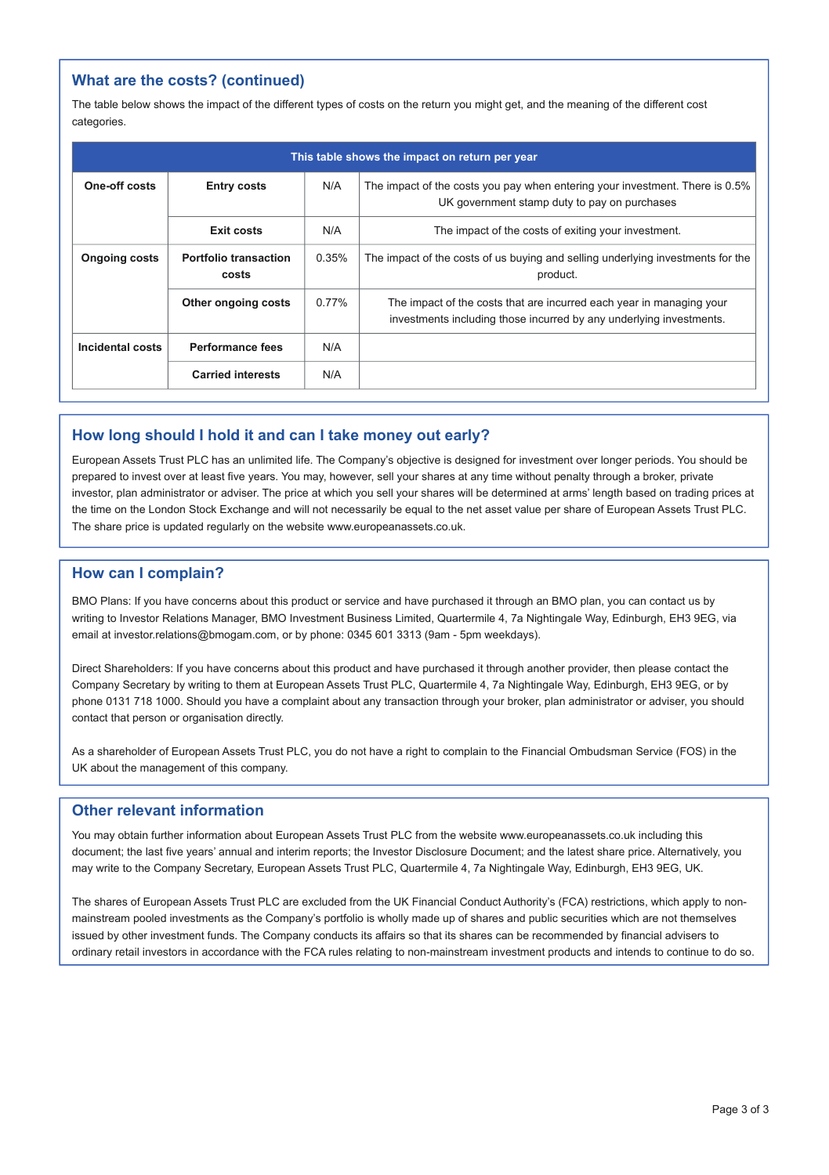#### What are the costs? (continued)

The table below shows the impact of the different types of costs on the return you might get, and the meaning of the different cost categories.

| This table shows the impact on return per year |                                       |          |                                                                                                                                             |  |  |
|------------------------------------------------|---------------------------------------|----------|---------------------------------------------------------------------------------------------------------------------------------------------|--|--|
| One-off costs                                  | <b>Entry costs</b>                    | N/A      | The impact of the costs you pay when entering your investment. There is 0.5%<br>UK government stamp duty to pay on purchases                |  |  |
|                                                | Exit costs                            | N/A      | The impact of the costs of exiting your investment.                                                                                         |  |  |
| <b>Ongoing costs</b>                           | <b>Portfolio transaction</b><br>costs | 0.35%    | The impact of the costs of us buying and selling underlying investments for the<br>product.                                                 |  |  |
|                                                | Other ongoing costs                   | $0.77\%$ | The impact of the costs that are incurred each year in managing your<br>investments including those incurred by any underlying investments. |  |  |
| Incidental costs                               | Performance fees                      | N/A      |                                                                                                                                             |  |  |
|                                                | <b>Carried interests</b>              | N/A      |                                                                                                                                             |  |  |

#### How long should I hold it and can I take money out early?

European Assets Trust PLC has an unlimited life. The Company's objective is designed for investment over longer periods. You should be prepared to invest over at least five years. You may, however, sell your shares at any time without penalty through a broker, private investor, plan administrator or adviser. The price at which you sell your shares will be determined at arms' length based on trading prices at the time on the London Stock Exchange and will not necessarily be equal to the net asset value per share of European Assets Trust PLC. The share price is updated regularly on the website www.europeanassets.co.uk.

#### How can I complain?

BMO Plans: If you have concerns about this product or service and have purchased it through an BMO plan, you can contact us by writing to Investor Relations Manager, BMO Investment Business Limited, Quartermile 4, 7a Nightingale Way, Edinburgh, EH3 9EG, via email at investor.relations@bmogam.com, or by phone: 0345 601 3313 (9am - 5pm weekdays).

Direct Shareholders: If you have concerns about this product and have purchased it through another provider, then please contact the Company Secretary by writing to them at European Assets Trust PLC, Quartermile 4, 7a Nightingale Way, Edinburgh, EH3 9EG, or by phone 0131 718 1000. Should you have a complaint about any transaction through your broker, plan administrator or adviser, you should contact that person or organisation directly.

As a shareholder of European Assets Trust PLC, you do not have a right to complain to the Financial Ombudsman Service (FOS) in the UK about the management of this company.

#### Other relevant information

You may obtain further information about European Assets Trust PLC from the website www.europeanassets.co.uk including this document; the last five years' annual and interim reports; the Investor Disclosure Document; and the latest share price. Alternatively, you may write to the Company Secretary, European Assets Trust PLC, Quartermile 4, 7a Nightingale Way, Edinburgh, EH3 9EG, UK.

The shares of European Assets Trust PLC are excluded from the UK Financial Conduct Authority's (FCA) restrictions, which apply to nonmainstream pooled investments as the Company's portfolio is wholly made up of shares and public securities which are not themselves issued by other investment funds. The Company conducts its affairs so that its shares can be recommended by financial advisers to ordinary retail investors in accordance with the FCA rules relating to non-mainstream investment products and intends to continue to do so.